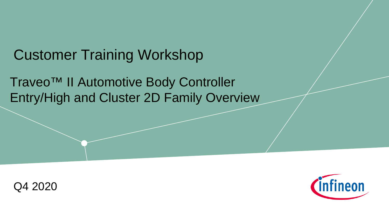## Customer Training Workshop

Traveo™ II Automotive Body Controller Entry/High and Cluster 2D Family Overview



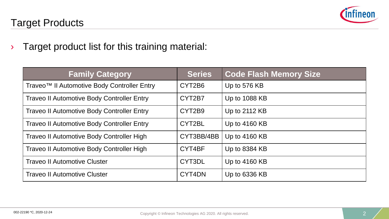

### Target Products

› Target product list for this training material:

| <b>Family Category</b>                            | <b>Series</b> | <b>Code Flash Memory Size</b> |
|---------------------------------------------------|---------------|-------------------------------|
| Traveo™ II Automotive Body Controller Entry       | CYT2B6        | Up to 576 KB                  |
| <b>Traveo II Automotive Body Controller Entry</b> | CYT2B7        | Up to 1088 KB                 |
| <b>Traveo II Automotive Body Controller Entry</b> | CYT2B9        | Up to 2112 KB                 |
| <b>Traveo II Automotive Body Controller Entry</b> | CYT2BL        | Up to 4160 KB                 |
| Traveo II Automotive Body Controller High         | CYT3BB/4BB    | Up to 4160 KB                 |
| Traveo II Automotive Body Controller High         | CYT4BF        | Up to 8384 KB                 |
| <b>Traveo II Automotive Cluster</b>               | CYT3DL        | Up to 4160 KB                 |
| <b>Traveo II Automotive Cluster</b>               | CYT4DN        | Up to 6336 KB                 |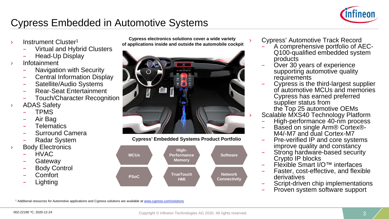

### Cypress Embedded in Automotive Systems

- Instrument Cluster<sup>1</sup>
	- Virtual and Hybrid Clusters
	- Head-Up Display
- › Infotainment
	- Navigation with Security
	- Central Information Display
	- Satellite/Audio Systems
	- Rear-Seat Entertainment
	- Touch/Character Recognition
- ADAS Safety
	- TPMS
	- Air Bag
	- **Telematics**
	- Surround Camera
	- Radar System
- **Body Electronics** 
	- HVAC
	- **Gateway**
	- Body Control
	- Comfort
	- **Lighting**

**Cypress electronics solutions cover a wide variety of applications inside and outside the automobile cockpit**







- Cypress' Automotive Track Record<br>- A comprehensive portfolio of AEC-Q100-qualified embedded system<br>products
- Over 30 years of experience supporting automotive quality requirements
- requirements Cypress is the third-largest supplier of automotive MCUs and memories Cypress has earned preferred supplier status from
- the Top 25 automotive OEMs
- Scalable MXS40 Technology Platform<br>- High-performance 40-nm process
- Based on single Arm® Cortex®-<br>M4/-M7 and dual Cortex-M7<br>Pre-verified IP and core systems
- 
- improve quality and constancy<br>Strong hardware-based security<br>Crypto IP blocks
- 
- Flexible Smart I/O™ interfaces<br>Faster, cost-effective, and flexible<br>derivatives
- Script-driven chip implementations<br>Proven system software support
- 

<sup>1</sup> Additional resources for Automotive applications and Cypress solutions are available at [www.cypress.com/solutions](http://www.cypress.com/solutions)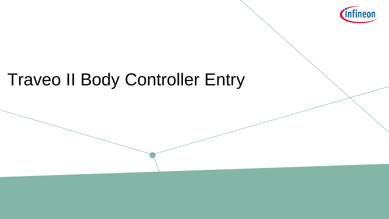

# Traveo II Body Controller Entry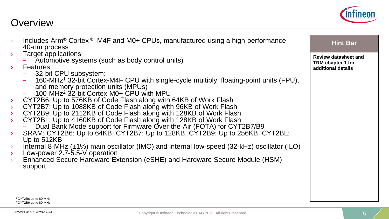

|                  | Includes $Arm^{\circledR}$ Cortex $^{\circledR}$ -M4F and M0+ CPUs, manufactured using a high-performance | <b>Hint Bar</b>             |
|------------------|-----------------------------------------------------------------------------------------------------------|-----------------------------|
|                  | 40-nm process                                                                                             |                             |
| $\rightarrow$    | Target applications                                                                                       | <b>Review datasheet and</b> |
|                  | Automotive systems (such as body control units)                                                           | TRM chapter 1 for           |
| $\rightarrow$    | <b>Features</b>                                                                                           | additional details          |
|                  | - 32-bit CPU subsystem:                                                                                   |                             |
|                  | 160-MHz <sup>1</sup> 32-bit Cortex-M4F CPU with single-cycle multiply, floating-point units (FPU),        |                             |
|                  | and memory protection units (MPUs)                                                                        |                             |
|                  | 100-MHz <sup>2</sup> 32-bit Cortex-M0+ CPU with MPU                                                       |                             |
| $\rightarrow$    | CYT2B6: Up to 576KB of Code Flash along with 64KB of Work Flash                                           |                             |
| $\rightarrow$    | CYT2B7: Up to 1088KB of Code Flash along with 96KB of Work Flash                                          |                             |
| $\sum_{i=1}^{n}$ | CYT2B9: Up to 2112KB of Code Flash along with 128KB of Work Flash                                         |                             |
| $\rightarrow$    | CYT2BL: Up to 4160KB of Code Flash along with 128KB of Work Flash                                         |                             |
|                  | Dual Bank Mode support for Firmware Over-the-Air (FOTA) for CYT2B7/B9                                     |                             |
| $\rightarrow$    | SRAM: CYT2B6: Up to 64KB, CYT2B7: Up to 128KB, CYT2B9: Up to 256KB, CYT2BL:                               |                             |
|                  | Up to 512KB                                                                                               |                             |
| $\sum_{i=1}^{n}$ | Internal 8-MHz $(\pm 1\%)$ main oscillator (IMO) and internal low-speed (32-kHz) oscillator (ILO)         |                             |
| $\rightarrow$    | Low-power 2.7-5.5-V operation                                                                             |                             |
| $\rightarrow$    | Enhanced Secure Hardware Extension (eSHE) and Hardware Secure Module (HSM)                                |                             |
|                  | support                                                                                                   |                             |
|                  |                                                                                                           |                             |
|                  |                                                                                                           |                             |
|                  |                                                                                                           |                             |
|                  |                                                                                                           |                             |
|                  | <sup>1</sup> CYT2B6 up to 80-MHz                                                                          |                             |
|                  | <sup>2</sup> CYT2B6 up to 80-MHz                                                                          |                             |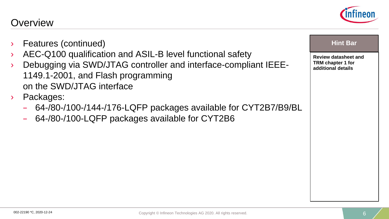- Features (continued)
- AEC-Q100 qualification and ASIL-B level functional safety
- › Debugging via SWD/JTAG controller and interface-compliant IEEE-1149.1-2001, and Flash programming on the SWD/JTAG interface
- › Packages:
	- 64-/80-/100-/144-/176-LQFP packages available for CYT2B7/B9/BL
	- 64-/80-/100-LQFP packages available for CYT2B6



### **Hint Bar**

**Review datasheet and TRM chapter 1 for additional details**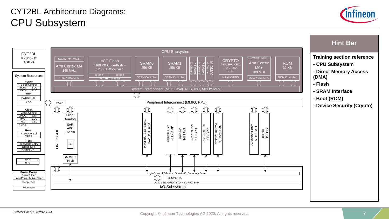

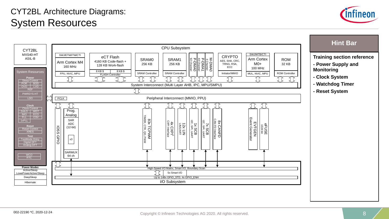### CYT2BL Architecture Diagrams: System Resources



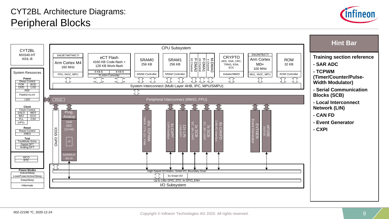### CYT2BL Architecture Diagrams: Peripheral Blocks



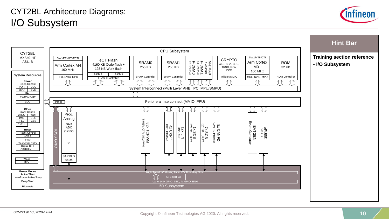### CYT2BL Architecture Diagrams: I/O Subsystem



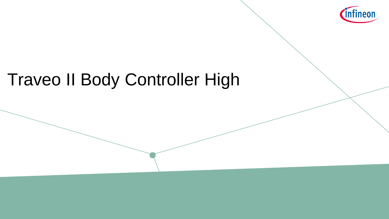

# Traveo II Body Controller High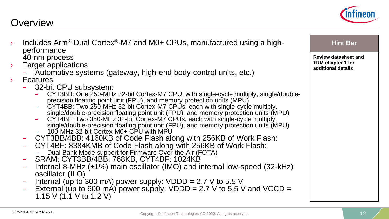002-22190 \*C, 2020-12-24

### **Overview**

- Includes Arm<sup>®</sup> Dual Cortex<sup>®</sup>-M7 and M0+ CPUs, manufactured using a high-<br>performance 40-nm process
- **Target applications** 
	- Automotive systems (gateway, high-end body-control units, etc.)
- - Features<br>- 32-bit CPU subsystem:
		- CYT3BB: One 250-MHz 32-bit Cortex-M7 CPU, with single-cycle multiply, single/double-<br>precision floating point unit (FPU), and memory protection units (MPU)<br>CYT4BB: Two 250-MHz 32-bit Cortex-M7 CPUs, each with single-cycle
		- single/double-precision floating point unit (FPU), and memory protection units (MPU) CYT4BF: Two 350-MHz 32-bit Cortex-M7 CPUs, each with single-cycle multiply,
		- single/double-precision floating point unit (FPU), and memory protection units (MPU)<br>- 100-MHz 32-bit Cortex-M0+ CPU with MPU<br>CYT3BB/4BB: 4160KB of Code Flash along with 256KB of Work Flash:
			-
	-
	- CYT3BB/4BB: 4160KB of Code Flash along with 256KB of Work Flash: CYT4BF: 8384KMB of Code Flash along with 256KB of Work Flash:
		- Dual Bank Mode support for Firmware Over-the-Air (FOTA)<br>SRAM: CYT3BB/4BB: 768KB, CYT4BF: 1024KB
	-
	- Internal 8-MHz (±1%) main oscillator (IMO) and internal low-speed (32-kHz) oscillator (ILO)
	-
	- $-$  Internal (up to 300 mA) power supply: VDDD = 2.7 V to 5.5 V<br>  $-$  External (up to 600 mA) power supply: VDDD = 2.7 V to 5.5 V and VCCD = 1.15 V (1.1 V to 1.2 V)

**Review datasheet and TRM chapter 1 for additional details**

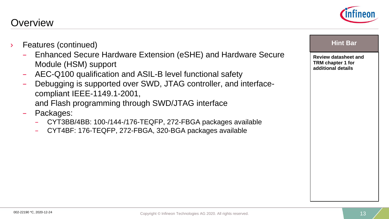

- Enhanced Secure Hardware Extension (eSHE) and Hardware Secure Module (HSM) support
- AEC-Q100 qualification and ASIL-B level functional safety
- Debugging is supported over SWD, JTAG controller, and interfacecompliant IEEE-1149.1-2001, and Flash programming through SWD/JTAG interface
- Packages:
	- CYT3BB/4BB: 100-/144-/176-TEQFP, 272-FBGA packages available
	- CYT4BF: 176-TEQFP, 272-FBGA, 320-BGA packages available



**Review datasheet and TRM chapter 1 for additional details**

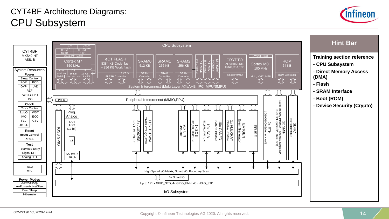### CYT4BF Architecture Diagrams: CPU Subsystem



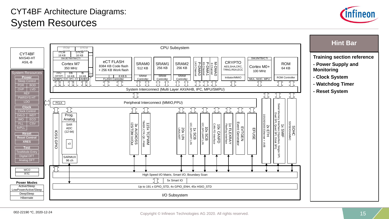### CYT4BF Architecture Diagrams: System Resources



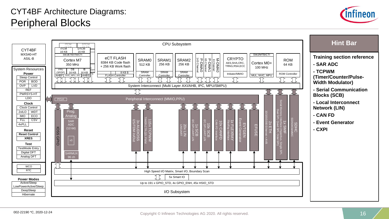### CYT4BF Architecture Diagrams: Peripheral Blocks



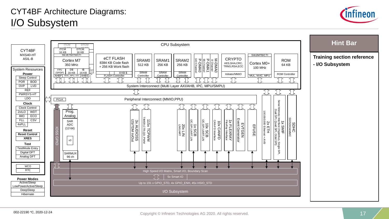### CYT4BF Architecture Diagrams: I/O Subsystem



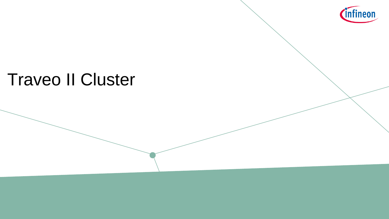

# Traveo II Cluster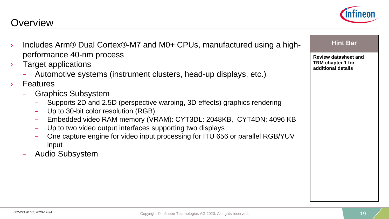- › Includes Arm® Dual Cortex®-M7 and M0+ CPUs, manufactured using a highperformance 40-nm process
- **Target applications** 
	- Automotive systems (instrument clusters, head-up displays, etc.)
- › Features
	- Graphics Subsystem
		- Supports 2D and 2.5D (perspective warping, 3D effects) graphics rendering
		- Up to 30-bit color resolution (RGB)
		- Embedded video RAM memory (VRAM): CYT3DL: 2048KB, CYT4DN: 4096 KB
		- Up to two video output interfaces supporting two displays
		- One capture engine for video input processing for ITU 656 or parallel RGB/YUV input
	- Audio Subsystem

**Review datasheet and TRM chapter 1 for additional details**

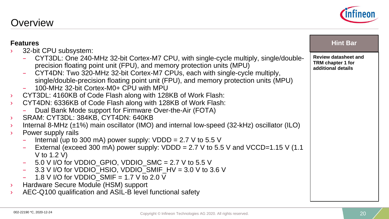32-bit CPU subsystem:

**Features**

### › CYT4DN: 6336KB of Code Flash along with 128KB of Work Flash: – Dual Bank Mode support for Firmware Over-the-Air (FOTA) SRAM: CYT3DL: 384KB, CYT4DN: 640KB Internal 8-MHz  $(\pm 1\%)$  main oscillator (IMO) and internal low-speed (32-kHz) oscillator (ILO) Internal (up to 300 mA) power supply:  $VDDD = 2.7 V$  to 5.5 V

precision floating point unit (FPU), and memory protection units (MPU)

– CYT4DN: Two 320-MHz 32-bit Cortex-M7 CPUs, each with single-cycle multiply,

External (exceed 300 mA) power supply:  $VDDD = 2.7 V$  to 5.5 V and  $VCCD=1.15 V (1.1)$ V to 1.2 V)

– CYT3DL: One 240-MHz 32-bit Cortex-M7 CPU, with single-cycle multiply, single/double-

single/double-precision floating point unit (FPU), and memory protection units (MPU)

- 5.0 V I/O for VDDIO GPIO, VDDIO  $SMC = 2.7$  V to 5.5 V
- $-$  3.3 V I/O for VDDIO\_HSIO, VDDIO\_SMIF\_HV = 3.0 V to 3.6 V

› CYT3DL: 4160KB of Code Flash along with 128KB of Work Flash:

 $-$  1.8 V I/O for VDDIO SMIF = 1.7 V to 2.0 V

– 100-MHz 32-bit Cortex-M0+ CPU with MPU

- › Hardware Secure Module (HSM) support
- AEC-Q100 qualification and ASIL-B level functional safety

**Review datasheet and TRM chapter 1 for additional details**

**Hint Bar** 

Power supply rails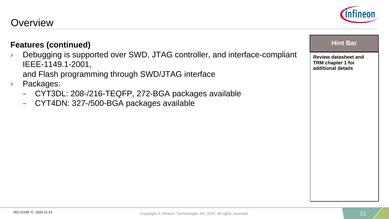### **Features (continued)**

› Debugging is supported over SWD, JTAG controller, and interface-compliant IEEE-1149.1-2001,

and Flash programming through SWD/JTAG interface

- › Packages:
	- CYT3DL: 208-/216-TEQFP, 272-BGA packages available
	- CYT4DN: 327-/500-BGA packages available



### **Hint Bar**

**Review datasheet and TRM chapter 1 for additional details**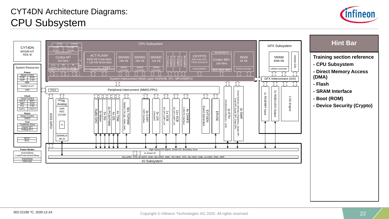### CYT4DN Architecture Diagrams: CPU Subsystem



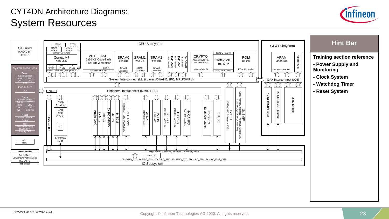### CYT4DN Architecture Diagrams: System Resources



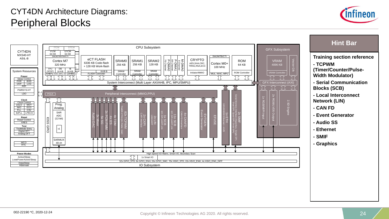### CYT4DN Architecture Diagrams: Peripheral Blocks



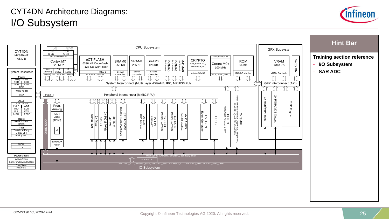### CYT4DN Architecture Diagrams: I/O Subsystem



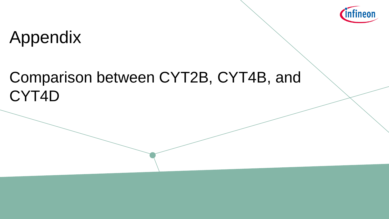

# Appendix

## Comparison between CYT2B, CYT4B, and CYT4D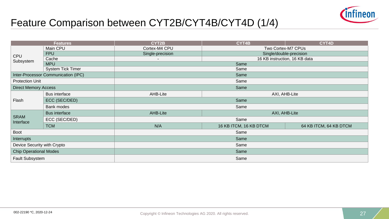

## Feature Comparison between CYT2B/CYT4B/CYT4D (1/4)

| <b>Features</b>               |                                     | CYT2B                               | CYT4B                   | CYT4D                  |  |  |
|-------------------------------|-------------------------------------|-------------------------------------|-------------------------|------------------------|--|--|
| <b>CPU</b><br>Subsystem       | Main CPU                            | Cortex-M4 CPU<br>Two Cortex-M7 CPUs |                         |                        |  |  |
|                               | <b>FPU</b>                          | Single-precision                    | Single/double-precision |                        |  |  |
|                               | Cache                               | 16 KB instruction, 16 KB data       |                         |                        |  |  |
|                               | <b>MPU</b>                          | Same                                |                         |                        |  |  |
|                               | <b>System Tick Timer</b>            | Same                                |                         |                        |  |  |
|                               | Inter-Processor Communication (IPC) |                                     | Same                    |                        |  |  |
| <b>Protection Unit</b>        |                                     | Same                                |                         |                        |  |  |
| <b>Direct Memory Access</b>   |                                     |                                     | Same                    |                        |  |  |
|                               | <b>Bus interface</b>                | AHB-Lite                            | AXI, AHB-Lite           |                        |  |  |
| Flash                         | ECC (SEC/DED)                       | Same                                |                         |                        |  |  |
|                               | Bank modes                          | Same                                |                         |                        |  |  |
|                               | <b>Bus interface</b>                | AHB-Lite<br>AXI, AHB-Lite           |                         |                        |  |  |
| <b>SRAM</b><br>Interface      | ECC (SEC/DED)                       | Same                                |                         |                        |  |  |
|                               | <b>TCM</b>                          | N/A                                 | 16 KB ITCM, 16 KB DTCM  | 64 KB ITCM, 64 KB DTCM |  |  |
| <b>Boot</b>                   |                                     | Same                                |                         |                        |  |  |
| Interrupts                    |                                     | Same                                |                         |                        |  |  |
| Device Security with Crypto   |                                     | Same                                |                         |                        |  |  |
| <b>Chip Operational Modes</b> |                                     | Same                                |                         |                        |  |  |
| Fault Subsystem               |                                     | Same                                |                         |                        |  |  |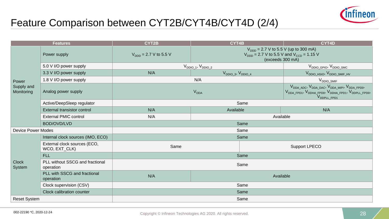

## Feature Comparison between CYT2B/CYT4B/CYT4D (2/4)

|                                   | <b>Features</b>                               | CYT2B                       | CYT4B                                                                                                                            | CYT4D                                                                                                                                                                                                                           |  |
|-----------------------------------|-----------------------------------------------|-----------------------------|----------------------------------------------------------------------------------------------------------------------------------|---------------------------------------------------------------------------------------------------------------------------------------------------------------------------------------------------------------------------------|--|
| Power<br>Supply and<br>Monitoring | Power supply                                  | $V_{DDD} = 2.7 V$ to 5.5 V  | $V_{DDD}$ = 2.7 V to 5.5 V (up to 300 mA)<br>$V_{\text{DDD}}$ = 2.7 V to 5.5 V and $V_{\text{CCD}}$ = 1.15 V<br>(exceeds 300 mA) |                                                                                                                                                                                                                                 |  |
|                                   | 5.0 V I/O power supply                        | $V_{DDIO_1}$ , $V_{DDIO_2}$ |                                                                                                                                  | $V_{DDIO\_GPIO}$ , $V_{DDIO\_SMC}$                                                                                                                                                                                              |  |
|                                   | 3.3 V I/O power supply                        | N/A                         | $V_{DDIO}$ 3, $V_{DDIO}$ 4                                                                                                       | V <sub>DDIO_HSIO</sub> , V <sub>DDIO_SMIF_HV</sub>                                                                                                                                                                              |  |
|                                   | 1.8 V I/O power supply                        |                             | N/A                                                                                                                              | $V_{DDIO\_SMIF}$                                                                                                                                                                                                                |  |
|                                   | Analog power supply                           |                             | <b>V<sub>DDA</sub></b>                                                                                                           | V <sub>DDA_ADC</sub> , V <sub>DDA_DAC</sub> , V <sub>DDA_MIPI</sub> , V <sub>DDA_FPD0</sub> ,<br>V <sub>DDA_FPD1</sub> , V <sub>DDHA_FPD0</sub> , V <sub>DDHA_FPD1</sub> , V <sub>DDPLL_FPD0</sub> ,<br>V <sub>DDPLL_FPD1</sub> |  |
|                                   | Active/DeepSleep regulator                    |                             | Same                                                                                                                             |                                                                                                                                                                                                                                 |  |
|                                   | External transistor control                   | N/A                         | Available                                                                                                                        | N/A                                                                                                                                                                                                                             |  |
|                                   | <b>External PMIC control</b>                  | N/A                         | Available                                                                                                                        |                                                                                                                                                                                                                                 |  |
|                                   | BOD/OVD/LVD                                   | Same                        |                                                                                                                                  |                                                                                                                                                                                                                                 |  |
| <b>Device Power Modes</b>         |                                               | Same                        |                                                                                                                                  |                                                                                                                                                                                                                                 |  |
|                                   | Internal clock sources (IMO, ECO)             |                             | Same                                                                                                                             |                                                                                                                                                                                                                                 |  |
|                                   | External clock sources (ECO,<br>WCO, EXT_CLK) | Same                        |                                                                                                                                  | Support LPECO                                                                                                                                                                                                                   |  |
|                                   | <b>FLL</b>                                    |                             | Same                                                                                                                             |                                                                                                                                                                                                                                 |  |
| <b>Clock</b><br>System            | PLL without SSCG and fractional<br>operation  |                             | Same                                                                                                                             |                                                                                                                                                                                                                                 |  |
|                                   | PLL with SSCG and fractional<br>operation     | N/A                         |                                                                                                                                  | Available                                                                                                                                                                                                                       |  |
|                                   | Clock supervision (CSV)                       |                             | Same                                                                                                                             |                                                                                                                                                                                                                                 |  |
|                                   | Clock calibration counter                     | Same                        |                                                                                                                                  |                                                                                                                                                                                                                                 |  |
| <b>Reset System</b>               |                                               |                             | Same                                                                                                                             |                                                                                                                                                                                                                                 |  |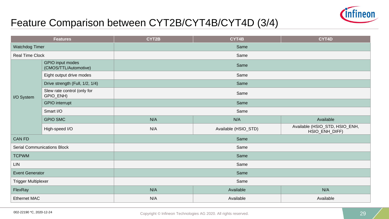

## Feature Comparison between CYT2B/CYT4B/CYT4D (3/4)

| <b>Features</b>                    |                                           | CYT2B | CYT4B                | CYT4D                                            |  |
|------------------------------------|-------------------------------------------|-------|----------------------|--------------------------------------------------|--|
| Watchdog Timer                     |                                           | Same  |                      |                                                  |  |
| Real Time Clock                    |                                           | Same  |                      |                                                  |  |
|                                    | GPIO input modes<br>(CMOS/TTL/Automotive) | Same  |                      |                                                  |  |
|                                    | Eight output drive modes                  | Same  |                      |                                                  |  |
|                                    | Drive strength (Full, 1/2, 1/4)           | Same  |                      |                                                  |  |
| I/O System                         | Slew rate control (only for<br>GPIO_ENH)  | Same  |                      |                                                  |  |
|                                    | <b>GPIO</b> interrupt                     | Same  |                      |                                                  |  |
|                                    | Smart I/O                                 | Same  |                      |                                                  |  |
|                                    | <b>GPIO SMC</b>                           | N/A   | N/A                  | Available                                        |  |
|                                    | High-speed I/O                            | N/A   | Available (HSIO_STD) | Available (HSIO_STD, HSIO_ENH,<br>HSIO_ENH_DIFF) |  |
| <b>CAN FD</b>                      |                                           | Same  |                      |                                                  |  |
| <b>Serial Communications Block</b> |                                           | Same  |                      |                                                  |  |
| <b>TCPWM</b>                       |                                           | Same  |                      |                                                  |  |
| <b>LIN</b>                         |                                           | Same  |                      |                                                  |  |
| <b>Event Generator</b>             |                                           | Same  |                      |                                                  |  |
| <b>Trigger Multiplexer</b>         |                                           | Same  |                      |                                                  |  |
| FlexRay                            |                                           | N/A   | Available            | N/A                                              |  |
| <b>Ethernet MAC</b>                |                                           | N/A   | Available            | Available                                        |  |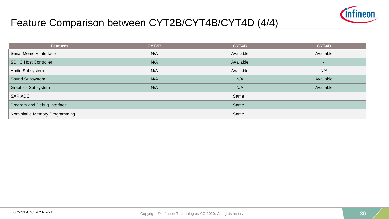

## Feature Comparison between CYT2B/CYT4B/CYT4D (4/4)

| <b>Features</b>                | CYT2B | CYT4B     | CYT4D     |
|--------------------------------|-------|-----------|-----------|
| Serial Memory Interface        | N/A   | Available | Available |
| <b>SDHC Host Controller</b>    | N/A   | Available | ۰.        |
| Audio Subsystem                | N/A   | Available | N/A       |
| Sound Subsystem                | N/A   | N/A       | Available |
| <b>Graphics Subsystem</b>      | N/A   | N/A       | Available |
| SAR ADC                        | Same  |           |           |
| Program and Debug Interface    | Same  |           |           |
| Nonvolatile Memory Programming | Same  |           |           |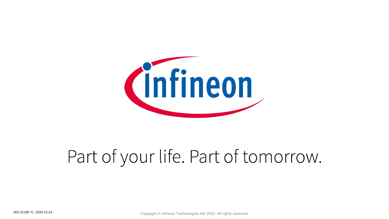

# Part of your life. Part of tomorrow.

002-22190 \*C, 2020-12-24 **Copyright © Infineon Technologies AG 2020**. All rights reserved.